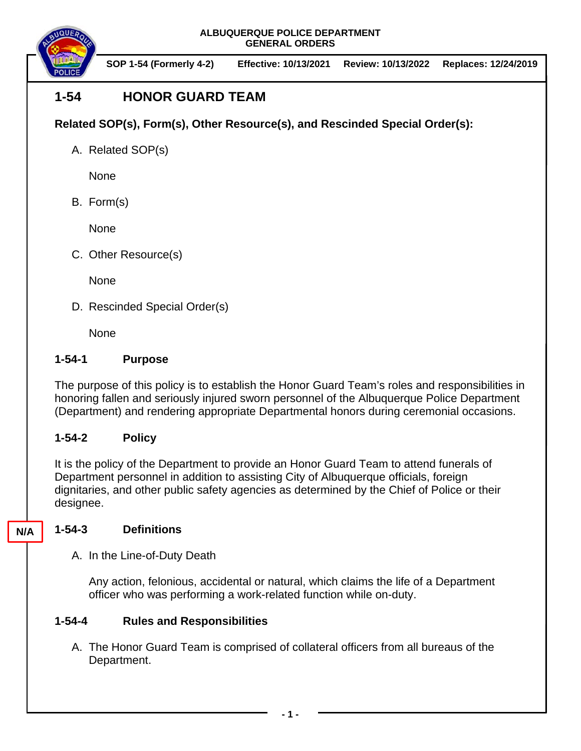

**SOP 1-54 (Formerly 4-2) Effective: 10/13/2021 Review: 10/13/2022 Replaces: 12/24/2019**

# **1-54 HONOR GUARD TEAM**

**Related SOP(s), Form(s), Other Resource(s), and Rescinded Special Order(s):**

A. Related SOP(s)

None

B. Form(s)

None

C. Other Resource(s)

**None** 

D. Rescinded Special Order(s)

None

### **1-54-1 Purpose**

The purpose of this policy is to establish the Honor Guard Team's roles and responsibilities in honoring fallen and seriously injured sworn personnel of the Albuquerque Police Department (Department) and rendering appropriate Departmental honors during ceremonial occasions.

## **1-54-2 Policy**

It is the policy of the Department to provide an Honor Guard Team to attend funerals of Department personnel in addition to assisting City of Albuquerque officials, foreign dignitaries, and other public safety agencies as determined by the Chief of Police or their designee.

## **1-54-3 Definitions**

**N/A**

A. In the Line-of-Duty Death

Any action, felonious, accidental or natural, which claims the life of a Department officer who was performing a work-related function while on-duty.

## **1-54-4 Rules and Responsibilities**

A. The Honor Guard Team is comprised of collateral officers from all bureaus of the Department.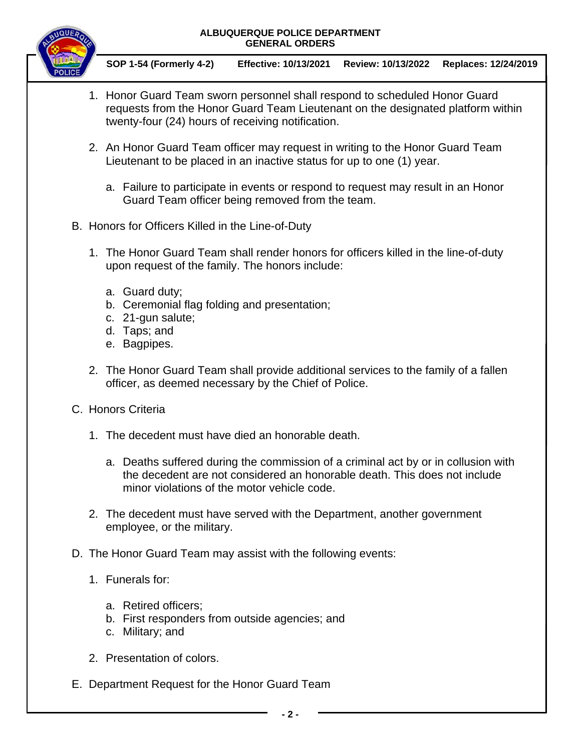

**SOP 1-54 (Formerly 4-2) Effective: 10/13/2021 Review: 10/13/2022 Replaces: 12/24/2019**

- 1. Honor Guard Team sworn personnel shall respond to scheduled Honor Guard requests from the Honor Guard Team Lieutenant on the designated platform within twenty-four (24) hours of receiving notification.
- 2. An Honor Guard Team officer may request in writing to the Honor Guard Team Lieutenant to be placed in an inactive status for up to one (1) year.
	- a. Failure to participate in events or respond to request may result in an Honor Guard Team officer being removed from the team.
- B. Honors for Officers Killed in the Line-of-Duty
	- 1. The Honor Guard Team shall render honors for officers killed in the line-of-duty upon request of the family. The honors include:
		- a. Guard duty;
		- b. Ceremonial flag folding and presentation;
		- c. 21-gun salute;
		- d. Taps; and
		- e. Bagpipes.
	- 2. The Honor Guard Team shall provide additional services to the family of a fallen officer, as deemed necessary by the Chief of Police.
- C. Honors Criteria
	- 1. The decedent must have died an honorable death.
		- a. Deaths suffered during the commission of a criminal act by or in collusion with the decedent are not considered an honorable death. This does not include minor violations of the motor vehicle code.
	- 2. The decedent must have served with the Department, another government employee, or the military.

#### D. The Honor Guard Team may assist with the following events:

- 1. Funerals for:
	- a. Retired officers;
	- b. First responders from outside agencies; and
	- c. Military; and
- 2. Presentation of colors.
- E. Department Request for the Honor Guard Team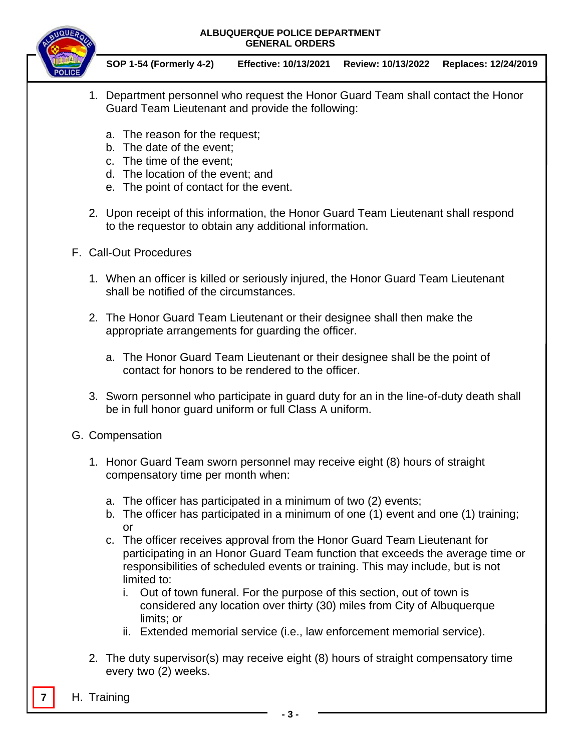

**SOP 1-54 (Formerly 4-2) Effective: 10/13/2021 Review: 10/13/2022 Replaces: 12/24/2019**

- 1. Department personnel who request the Honor Guard Team shall contact the Honor Guard Team Lieutenant and provide the following:
	- a. The reason for the request;
	- b. The date of the event;
	- c. The time of the event;
	- d. The location of the event; and
	- e. The point of contact for the event.
- 2. Upon receipt of this information, the Honor Guard Team Lieutenant shall respond to the requestor to obtain any additional information.
- F. Call-Out Procedures
	- 1. When an officer is killed or seriously injured, the Honor Guard Team Lieutenant shall be notified of the circumstances.
	- 2. The Honor Guard Team Lieutenant or their designee shall then make the appropriate arrangements for guarding the officer.
		- a. The Honor Guard Team Lieutenant or their designee shall be the point of contact for honors to be rendered to the officer.
	- 3. Sworn personnel who participate in guard duty for an in the line-of-duty death shall be in full honor guard uniform or full Class A uniform.
- G. Compensation
	- 1. Honor Guard Team sworn personnel may receive eight (8) hours of straight compensatory time per month when:
		- a. The officer has participated in a minimum of two (2) events;
		- b. The officer has participated in a minimum of one (1) event and one (1) training; or
		- c. The officer receives approval from the Honor Guard Team Lieutenant for participating in an Honor Guard Team function that exceeds the average time or responsibilities of scheduled events or training. This may include, but is not limited to:
			- i. Out of town funeral. For the purpose of this section, out of town is considered any location over thirty (30) miles from City of Albuquerque limits; or
			- ii. Extended memorial service (i.e., law enforcement memorial service).
	- 2. The duty supervisor(s) may receive eight (8) hours of straight compensatory time every two (2) weeks.
- **7** H. Training